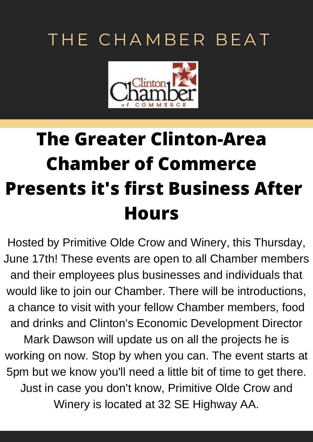# THE CHAMBER BEAT



# **The Greater Clinton-Area Chamber of Commerce Presents it's first Business After Hours**

Hosted by Primitive Olde Crow and Winery, this Thursday, June 17th! These events are open to all Chamber members and their employees plus businesses and individuals that would like to join our Chamber. There will be introductions, a chance to visit with your fellow Chamber members, food and drinks and Clinton's Economic Development Director Mark Dawson will update us on all the projects he is working on now. Stop by when you can. The event starts at 5pm but we know you'll need a little bit of time to get there. Just in case you don't know, Primitive Olde Crow and Winery is located at 32 SE Highway AA.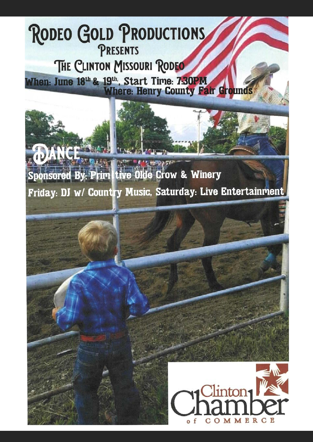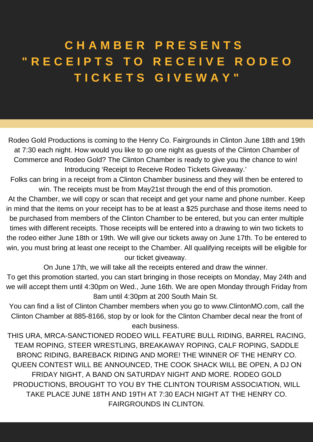## **C H A M B E R P R E S E N T S " R E C E I P T S T O R E C E I V E R O D E O T I C K E T S G I V E W A Y "**

Rodeo Gold Productions is coming to the Henry Co. Fairgrounds in Clinton June 18th and 19th at 7:30 each night. How would you like to go one night as guests of the Clinton Chamber of Commerce and Rodeo Gold? The Clinton Chamber is ready to give you the chance to win! Introducing 'Receipt to Receive Rodeo Tickets Giveaway.'

Folks can bring in a receipt from a Clinton Chamber business and they will then be entered to win. The receipts must be from May21st through the end of this promotion.

At the Chamber, we will copy or scan that receipt and get your name and phone number. Keep in mind that the items on your receipt has to be at least a \$25 purchase and those items need to be purchased from members of the Clinton Chamber to be entered, but you can enter multiple times with different receipts. Those receipts will be entered into a drawing to win two tickets to the rodeo either June 18th or 19th. We will give our tickets away on June 17th. To be entered to win, you must bring at least one receipt to the Chamber. All qualifying receipts will be eligible for our ticket giveaway.

On June 17th, we will take all the receipts entered and draw the winner.

To get this promotion started, you can start bringing in those receipts on Monday, May 24th and we will accept them until 4:30pm on Wed., June 16th. We are open Monday through Friday from 8am until 4:30pm at 200 South Main St.

You can find a list of Clinton Chamber members when you go to www.ClintonMO.com, call the Clinton Chamber at 885-8166, stop by or look for the Clinton Chamber decal near the front of each business.

THIS URA, MRCA-SANCTIONED RODEO WILL FEATURE BULL RIDING, BARREL RACING, TEAM ROPING, STEER WRESTLING, BREAKAWAY ROPING, CALF ROPING, SADDLE BRONC RIDING, BAREBACK RIDING AND MORE! THE WINNER OF THE HENRY CO. QUEEN CONTEST WILL BE ANNOUNCED, THE COOK SHACK WILL BE OPEN, A DJ ON FRIDAY NIGHT, A BAND ON SATURDAY NIGHT AND MORE. RODEO GOLD PRODUCTIONS, BROUGHT TO YOU BY THE CLINTON TOURISM ASSOCIATION, WILL TAKE PLACE JUNE 18TH AND 19TH AT 7:30 EACH NIGHT AT THE HENRY CO. FAIRGROUNDS IN CLINTON.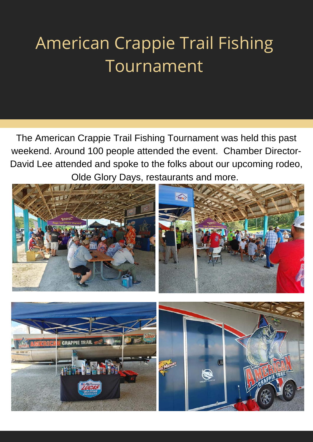# American Crappie Trail Fishing Tournament

The American Crappie Trail Fishing Tournament was held this past weekend. Around 100 people attended the event. Chamber Director-David Lee attended and spoke to the folks about our upcoming rodeo, Olde Glory Days, restaurants and more.



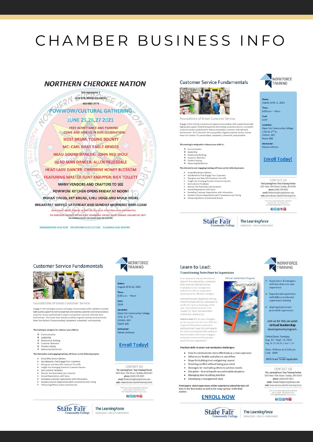## CHAMBER BUSINESS INFO

#### **NORTHERN CHEROKEE NATION**

### 578 HIGHWAY 7 CLINTON, MISSOURI 64735

# FOWWOW/CULTURAL GATHERING

**FREE ADMITTANCE AND PARKING** COME AND JOIN US IN OUR CELEBRATION! **HOST DRUM: YOUNG BOUNTY MC: CARL GRAY EAGLE GRIGGS HEAD GOURD DANCER: JOHN RED WOLF HEAD MAN DANCER: ALLEN TRUESDALE HEAD LADY DANCER: CHRISTINE HONEY BLOSSOM FEATURING MASTER FLINT KNAPPER: RICK TOLLETT** MANY VENDORS AND CRAFTERS TO SEE POWWOW KITCHEN OPENS FRIDAY AT NOON! INDIAN TACOS, FRY BREAD, CHILI DOGS AND MUCH MORE BREAKFAST SERVED SATURDAY AND SUNDAY MORNING 8AM-11AM NO ALCONOL, DRUGS, FIREANS OR ANY TYPE OF JULICAL ACTIVITY ALLOWED OR PERMITTED<br>THE NORTHERN CHEROKER MATION IS NOT RESPONSIBLE FOR ANY INJURY, DAMAGE, LOSS AND OR THEFT<br>ALL ANIMALS MUST BE CAGED AND OR LEASHED THE NORTHERN CHERO

REMEMBERING OUR PAST PRESERVING OUR CULTURE PLANNING OUR DESTINY

#### **Customer Service Fundamentals**



Foundations of Great Customer Service

Engage in this training to acquire and apply communication skills needed to proligh quality support to both prospective and existing customers and be a successioner service professional in today's competition existing cus

#### raining is designed to enhance your skills in

- 
- 
- 
- Communication<br>Leadership<br>Relationship Building<br>Customer Retention<br>Problem Solving<br>Measuring Satisfaction

ractive and engaging training will focus on the following top

- 
- 
- 
- 
- 
- 
- teractive and engaging training will bocas on the tonowing topic<br>View Why Service Matters<br>Use Behaviors That Engage Your Customers<br>Recognize and Deal with Customer Turnoffs<br>Insight into Energing Trends in Customer Service<br>
- 

#### **WORKFORCE** TRAINING

#### Dates: August 10 & 12, 2021 8:00 a.m. - Noon Cost:<br>\$199 Location state Fair Com nunity College 1701 N. 2<sup>nd</sup> St. Clinton, MO<br>Room 104 **Instructor** Renee Anthony

#### **Enroll Today!**

CONTACT US The LearningForce | Your Training Partner<br>3201 West 16th Street | Sedalia, MO 65301<br>phone | (660) 530-5822<br>email | thelearningforce@sfccmo.edu email | thelearningforce@sfccmo.edu<br>web | www.sfccmo.edu/the-learning-force

SFCC is an equal opportunity inst<br>and is smoke- and tobacco-fri

82608

**WORKFORCE** 

TRAINING

Supervisors & managers with less than one yea

**Experienced supervisors** 

with little or no formal<br>supervisory training

Aspiring/soon-to-be-<br>promoted supervisors

Join us for this six-week

virtual leadership

development program.

**Online Dates: Tuesdays** 

Aug. 10 - Sept. 14, 2021<br>Aug. 10, 17, 24, 31 | Sept. 7, 14

Time: 9:00 am to 12:00 pm<br>Cost: \$699

**MOS Grant Funds Applicable** 

**State Fair** 



#### **Customer Service Fundamentals**



Foundations of Great Customer Service

Engage in this training to acquire and apply communication skills needed to provide high quality support to both prospective and existing customers and be a successful<br>customer service professional in today's competitive customer-oriented work<br>environment. You'll also learn the key qualities of good custo

#### This training is designed to enhance your skills in:

- 
- 
- Communication<br>Leadership<br>Relationship Building<br>Customer Retention<br>Problem Solving
- 
- ◆ Problem Solving<br>◆ Measuring Satisfaction

#### This interactive and engaging training will focus on the following topics

- Know Why Service Matters
- 
- 
- 
- 
- 
- 
- Know Why Service Matters<br>Use Behaviors That Engage Your Customers<br>Recognize and Deal with Customer Turnoffs<br>Insight into Emerging Trends in Customer Service<br>Get Customer Feedback<br>Secore the Petersially Lost Customer<br>Exceed

**WORKFORCE** TRAINING

#### Dates: August 10 & 12, 2021 8:00 a.m. - Noon

Cost:

\$199

Location **State Fair Community College** 1701 N. 2<sup>nd</sup> St.<br>Clinton, MO **Room 104** Instructor:

Renee Anthony

#### **Enroll Today!**

CONTACT US The Learning Favor | Your Training Partner<br>3201 West 16th Street | Sedalia, MO 65301<br>phone | (660) 530-5822 email | thelearningforce@sfccmo.edu

web | www.sfccmo.edu/the-learning-force

SFCC is an equal opportunity inst<br>and is smoke- and tobacco fo<br>Velt www.sforms.edu.to learn

#### **80600**



#### The LearningForce EDGE + SKILLS + ENRICHMENT

#### Learn to Lead: **Transitioning from Peer to Supervisor**

In an attempt to harvest the internal In an attempt to harvest the internal<br>talent of the organization, companie<br>often promote high-performing<br>employees to into management<br>without the skills or preparation<br>necessary to be effective managers.

Lacking the proper leadership training these employees will be unequipped to these employees will be unequipped<br>handle the various challenges of this<br>new role and the transition from<br>"buddy" to "boss" will leave them anxious and stressed out.

Learn to Lead will set your manag up for success from the start. With the up for success memories and the supervisors,<br>support of their direct supervisors,<br>participants will leave this training with<br>the tools and analytical skills needed to esults for your org

#### Practical skills to solve real workplace challenges:

- . How to communicate more effectively as a new supervisor
- When to be flexible and when to stand firm • Steps for building trust and gaining respect
- Resolving conflict without losing your mind
- Strategies for motivating others to achieve results
- . Discipline how to handle uncomfortable situations
- Managing time & setting priorities
- Developing a management style

## Participants' direct supervisors will be expected to attend the kick-off<br>hour in the first session as well as the wrap-up hour in the final

#### **ENROLL NOW**







Virtual Leadership Program

Success



**CONTACT US** 

MENT

The Learning Force | Your Training Partner<br>3201 West 16th Street | Sedalia, MO 65301<br>phone | (660) 530-5822 mail | thelearningforce@sfccmo.edu

web | www.sfccmo.edu/the-learning-force

SFCC is an equal opportunity in<br>and is smoke- and tobacco-<br>Visit www.sferma.edu to lean

82609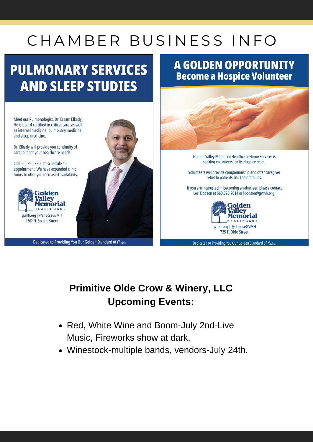# CHAMBER BUSINESS INFO

## **PULMONARY SERVICES AND SLEEP STUDIES**

## **A GOLDEN OPPORTUNITY Become a Hospice Volunteer**



Dedicated to Providing You Our Golden Standard of Care.

## **Primitive Olde Crow & Winery, LLC Upcoming Events:**

- Red, White Wine and Boom-July 2nd-Live Music, Fireworks show at dark.
- Winestock-multiple bands, vendors-July 24th.

He is board certified in critical care, as well as internal medicine, pulmonary medicine and sleep medicine. Dr. Elkady will provide you continuity of care to meet your healthcare needs.

Meet our Pulmonologist, Dr. Essam Elkady.

Call 660.890.7300 to schedule an appointment. We have expanded clinic hours to offer you increased availability.



1602 N. Second Street

Dedicated to Providing You Our Golden Standard of Care.